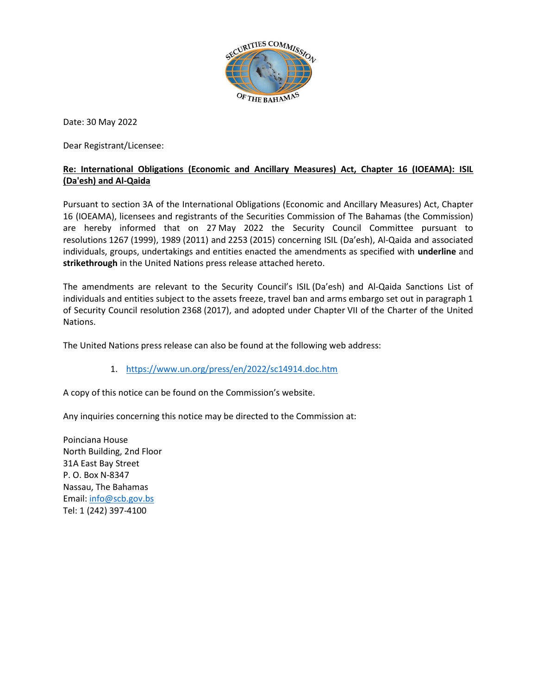

Date: 30 May 2022

Dear Registrant/Licensee:

## Re: International Obligations (Economic and Ancillary Measures) Act, Chapter 16 (IOEAMA): ISIL (Da'esh) and Al-Qaida

Pursuant to section 3A of the International Obligations (Economic and Ancillary Measures) Act, Chapter 16 (IOEAMA), licensees and registrants of the Securities Commission of The Bahamas (the Commission) are hereby informed that on 27 May 2022 the Security Council Committee pursuant to resolutions 1267 (1999), 1989 (2011) and 2253 (2015) concerning ISIL (Da'esh), Al-Qaida and associated individuals, groups, undertakings and entities enacted the amendments as specified with underline and strikethrough in the United Nations press release attached hereto.

The amendments are relevant to the Security Council's ISIL (Da'esh) and Al-Qaida Sanctions List of individuals and entities subject to the assets freeze, travel ban and arms embargo set out in paragraph 1 of Security Council resolution 2368 (2017), and adopted under Chapter VII of the Charter of the United Nations.

The United Nations press release can also be found at the following web address:

1. https://www.un.org/press/en/2022/sc14914.doc.htm

A copy of this notice can be found on the Commission's website.

Any inquiries concerning this notice may be directed to the Commission at:

Poinciana House North Building, 2nd Floor 31A East Bay Street P. O. Box N-8347 Nassau, The Bahamas Email: info@scb.gov.bs Tel: 1 (242) 397-4100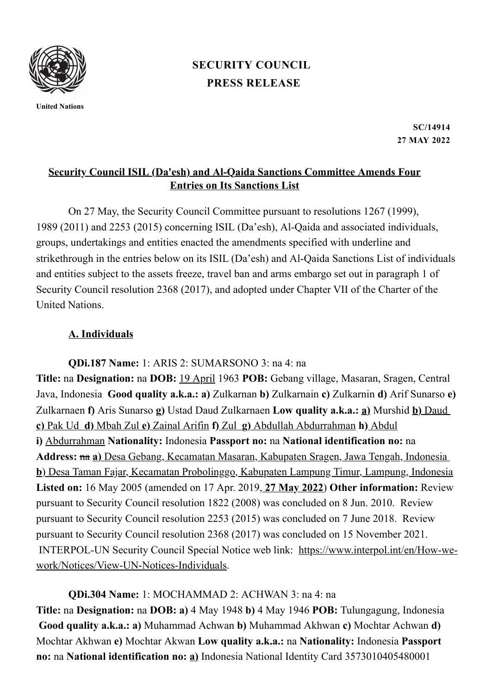

**United Nations**

## **PRESS [RELEASE](https://www.un.org/press/en/press-release) [SECURITY](https://www.un.org/press/en/security-council) COUNCIL**

**SC/14914 27 MAY 2022**

## **Security Council ISIL (Da'esh) and Al-Qaida Sanctions Committee Amends Four Entries on Its Sanctions List**

On 27 May, the Security Council Committee pursuant to resolutions 1267 (1999), 1989 (2011) and 2253 (2015) concerning ISIL (Da'esh), Al‑Qaida and associated individuals, groups, undertakings and entities enacted the amendments specified with underline and strikethrough in the entries below on its ISIL (Da'esh) and Al-Qaida Sanctions List of individuals and entities subject to the assets freeze, travel ban and arms embargo set out in paragraph 1 of Security Council resolution 2368 (2017), and adopted under Chapter VII of the Charter of the United Nations.

## **A. Individuals**

**QDi.187 Name:** 1: ARIS 2: SUMARSONO 3: na 4: na **Title:** na **Designation:** na **DOB:** 19 April 1963 **POB:** Gebang village, Masaran, Sragen, Central Java, Indonesia **Good quality a.k.a.: a)** Zulkarnan **b)** Zulkarnain **c)** Zulkarnin **d)** Arif Sunarso **e)** Zulkarnaen **f)** Aris Sunarso **g)** Ustad Daud Zulkarnaen **Low quality a.k.a.: a)** Murshid **b)** Daud **c)** Pak Ud **d)** Mbah Zul **e)** Zainal Arifin **f)** Zul **g)** Abdullah Abdurrahman **h)** Abdul **i)** Abdurrahman **Nationality:** Indonesia **Passport no:** na **National identification no:** na **Address:** na **a)** Desa Gebang, Kecamatan Masaran, Kabupaten Sragen, Jawa Tengah, Indonesia **b**) Desa Taman Fajar, Kecamatan Probolinggo, Kabupaten Lampung Timur, Lampung, Indonesia **Listed on:** 16 May 2005 (amended on 17 Apr. 2019, **27 May 2022**) **Other information:** Review pursuant to Security Council resolution 1822 (2008) was concluded on 8 Jun. 2010. Review pursuant to Security Council resolution 2253 (2015) was concluded on 7 June 2018. Review pursuant to Security Council resolution 2368 (2017) was concluded on 15 November 2021. INTERPOL-UN Security Council Special Notice web link: https://www.interpol.int/en/How-we[work/Notices/View-UN-Notices-Individuals.](https://www.interpol.int/en/How-we-work/Notices/View-UN-Notices-Individuals)

**QDi.304 Name:** 1: MOCHAMMAD 2: ACHWAN 3: na 4: na **Title:** na **Designation:** na **DOB: a)** 4 May 1948 **b)** 4 May 1946 **POB:** Tulungagung, Indonesia **Good quality a.k.a.: a)** Muhammad Achwan **b)** Muhammad Akhwan **c)** Mochtar Achwan **d)** Mochtar Akhwan **e)** Mochtar Akwan **Low quality a.k.a.:** na **Nationality:** Indonesia **Passport no:** na **National identification no: a)** Indonesia National Identity Card 3573010405480001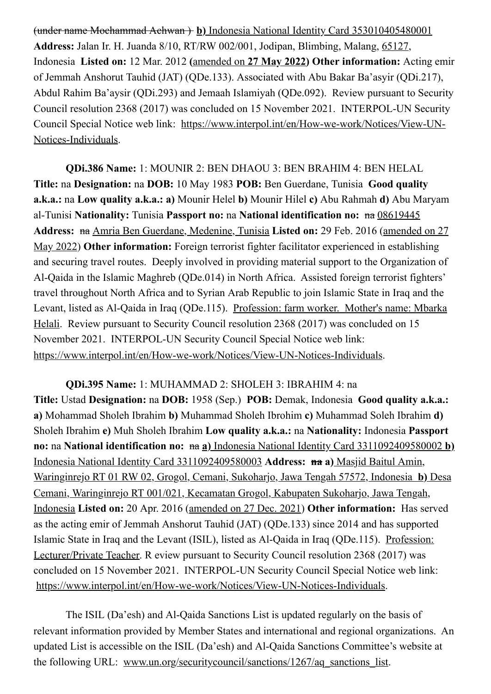(under name Mochammad Achwan ) **b)** Indonesia National Identity Card 353010405480001 **Address:** Jalan Ir. H. Juanda 8/10, RT/RW 002/001, Jodipan, Blimbing, Malang, 65127, Indonesia **Listed on:** 12 Mar. 2012 **(**amended on **27 May 2022) Other information:** Acting emir of Jemmah Anshorut Tauhid (JAT) (QDe.133). Associated with Abu Bakar Ba'asyir (QDi.217), Abdul Rahim Ba'aysir (QDi.293) and Jemaah Islamiyah (QDe.092). Review pursuant to Security Council resolution 2368 (2017) was concluded on 15 November 2021. INTERPOL-UN Security Council Special Notice web link: [https://www.interpol.int/en/How-we-work/Notices/View-UN-](https://www.interpol.int/en/How-we-work/Notices/View-UN-Notices-Individuals)Notices-Individuals.

**QDi.386 Name:** 1: MOUNIR 2: BEN DHAOU 3: BEN BRAHIM 4: BEN HELAL **Title:** na **Designation:** na **DOB:** 10 May 1983 **POB:** Ben Guerdane, Tunisia **Good quality a.k.a.:** na **Low quality a.k.a.: a)** Mounir Helel **b)** Mounir Hilel **c)** Abu Rahmah **d)** Abu Maryam al-Tunisi **Nationality:** Tunisia **Passport no:** na **National identification no:** na 08619445 **Address:** na Amria Ben Guerdane, Medenine, Tunisia **Listed on:** 29 Feb. 2016 (amended on 27 May 2022) **Other information:** Foreign terrorist fighter facilitator experienced in establishing and securing travel routes. Deeply involved in providing material support to the Organization of Al-Qaida in the Islamic Maghreb (QDe.014) in North Africa. Assisted foreign terrorist fighters' travel throughout North Africa and to Syrian Arab Republic to join Islamic State in Iraq and the Levant, listed as Al-Qaida in Iraq (QDe.115). Profession: farm worker. Mother's name: Mbarka Helali. Review pursuant to Security Council resolution 2368 (2017) was concluded on 15 November 2021. INTERPOL-UN Security Council Special Notice web link: <https://www.interpol.int/en/How-we-work/Notices/View-UN-Notices-Individuals>.

**QDi.395 Name:** 1: MUHAMMAD 2: SHOLEH 3: IBRAHIM 4: na **Title:** Ustad **Designation:** na **DOB:** 1958 (Sep.) **POB:** Demak, Indonesia **Good quality a.k.a.: a)** Mohammad Sholeh Ibrahim **b)** Muhammad Sholeh Ibrohim **c)** Muhammad Soleh Ibrahim **d)** Sholeh Ibrahim **e)** Muh Sholeh Ibrahim **Low quality a.k.a.:** na **Nationality:** Indonesia **Passport no:** na **National identification no:** na **a)** Indonesia National Identity Card 3311092409580002 **b)** Indonesia National Identity Card 3311092409580003 **Address: na a)** Masjid Baitul Amin, Waringinrejo RT 01 RW 02, Grogol, Cemani, Sukoharjo, Jawa Tengah 57572, Indonesia **b)** Desa Cemani, Waringinrejo RT 001/021, Kecamatan Grogol, Kabupaten Sukoharjo, Jawa Tengah, Indonesia **Listed on:** 20 Apr. 2016 (amended on 27 Dec. 2021) **Other information:** Has served as the acting emir of Jemmah Anshorut Tauhid (JAT) (QDe.133) since 2014 and has supported Islamic State in Iraq and the Levant (ISIL), listed as Al-Qaida in Iraq (QDe.115). Profession: Lecturer/Private Teacher. R eview pursuant to Security Council resolution 2368 (2017) was concluded on 15 November 2021. INTERPOL-UN Security Council Special Notice web link: [https://www.interpol.int/en/How-we-work/Notices/View-UN-Notices-Individuals.](https://www.interpol.int/en/How-we-work/Notices/View-UN-Notices-Individuals)

The ISIL (Da'esh) and Al-Qaida Sanctions List is updated regularly on the basis of relevant information provided by Member States and international and regional organizations. An updated List is accessible on the ISIL (Da'esh) and Al-Qaida Sanctions Committee's website at the following URL: [www.un.org/securitycouncil/sanctions/1267/aq\\_sanctions\\_list](http://www.un.org/securitycouncil/sanctions/1267/aq_sanctions_list).